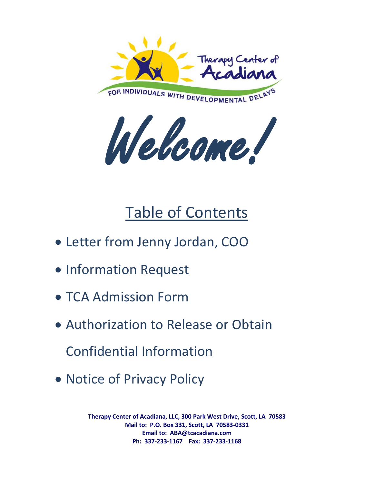

Welcome!

# Table of Contents

- Letter from Jenny Jordan, COO
- Information Request
- TCA Admission Form
- Authorization to Release or Obtain Confidential Information
- Notice of Privacy Policy

**Therapy Center of Acadiana, LLC, 300 Park West Drive, Scott, LA 70583 Mail to: P.O. Box 331, Scott, LA 70583-0331 Email to: ABA@tcacadiana.com Ph: 337-233-1167 Fax: 337-233-1168**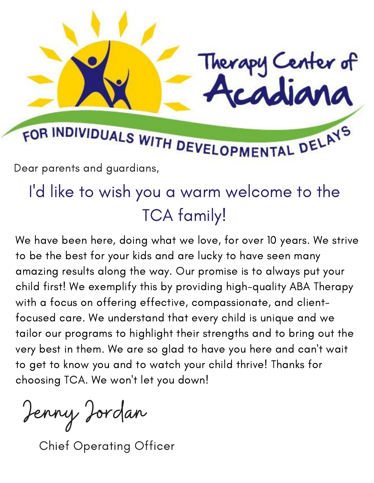# FOR INDIVIDUALS WITH DEVELOPMENTAL DELAYS

Dear parents and guardians,

# I'd like to wish you a warm welcome to the TCA family!

Therapy Center of

We have been here, doing what we love, for over 10 years. We strive to be the best for your kids and are lucky to have seen many amazing results along the way. Our promise is to always put your child first! We exemplify this by providing high-quality ABA Therapy with a focus on offering effective, compassionate, and clientfocused care. We understand that every child is unique and we tailor our programs to highlight their strengths and to bring out the very best in them. We are so glad to have you here and can 't wait to get to know you and to watch your child thrive! Thanks for choosing TCA. We won 't let you down!

Jenny Jordan

Chief Operating Officer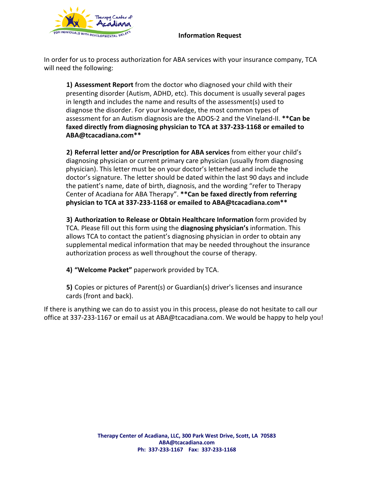

#### **Information Request**

In order for us to process authorization for ABA services with your insurance company, TCA will need the following:

**1) Assessment Report** from the doctor who diagnosed your child with their presenting disorder (Autism, ADHD, etc). This document is usually several pages in length and includes the name and results of the assessment(s) used to diagnose the disorder. For your knowledge, the most common types of assessment for an Autism diagnosis are the ADOS-2 and the Vineland-II. **\*\*Can be faxed directly from diagnosing physician to TCA at 337-233-1168 or emailed to ABA@tcacadiana.com\*\***

**2) Referral letter and/or Prescription for ABA services** from either your child's diagnosing physician or current primary care physician (usually from diagnosing physician). This letter must be on your doctor's letterhead and include the doctor's signature. The letter should be dated within the last 90 days and include the patient's name, date of birth, diagnosis, and the wording "refer to Therapy Center of Acadiana for ABA Therapy". **\*\*Can be faxed directly from referring physician to TCA at 337-233-1168 or emailed to ABA@tcacadiana.com\*\***

**3) Authorization to Release or Obtain Healthcare Information** form provided by TCA. Please fill out this form using the **diagnosing physician's** information. This allows TCA to contact the patient's diagnosing physician in order to obtain any supplemental medical information that may be needed throughout the insurance authorization process as well throughout the course of therapy.

**4) "Welcome Packet"** paperwork provided by TCA.

**5)** Copies or pictures of Parent(s) or Guardian(s) driver's licenses and insurance cards (front and back).

If there is anything we can do to assist you in this process, please do not hesitate to call our office at 337-233-1167 or email us at ABA@tcacadiana.com. We would be happy to help you!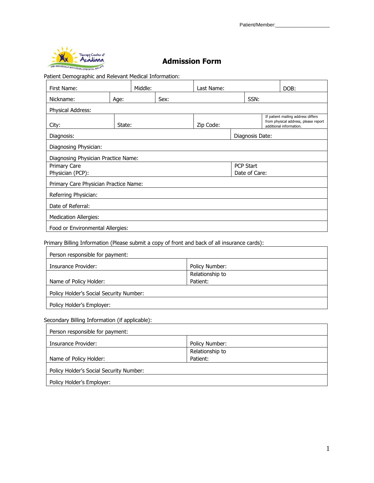

## **Admission Form**

Patient Demographic and Relevant Medical Information:

| First Name:                           |        | Middle: |      | Last Name: |                                                                                                       |                  |  | DOB: |
|---------------------------------------|--------|---------|------|------------|-------------------------------------------------------------------------------------------------------|------------------|--|------|
| Nickname:                             | Age:   |         | Sex: |            |                                                                                                       | SSN:             |  |      |
| Physical Address:                     |        |         |      |            |                                                                                                       |                  |  |      |
| City:                                 | State: |         |      | Zip Code:  | If patient mailing address differs<br>from physical address, please report<br>additional information. |                  |  |      |
| Diagnosis:                            |        |         |      |            | Diagnosis Date:                                                                                       |                  |  |      |
| Diagnosing Physician:                 |        |         |      |            |                                                                                                       |                  |  |      |
| Diagnosing Physician Practice Name:   |        |         |      |            |                                                                                                       |                  |  |      |
| <b>Primary Care</b>                   |        |         |      |            |                                                                                                       | <b>PCP Start</b> |  |      |
| Physician (PCP):                      |        |         |      |            | Date of Care:                                                                                         |                  |  |      |
| Primary Care Physician Practice Name: |        |         |      |            |                                                                                                       |                  |  |      |
| Referring Physician:                  |        |         |      |            |                                                                                                       |                  |  |      |
| Date of Referral:                     |        |         |      |            |                                                                                                       |                  |  |      |
| <b>Medication Allergies:</b>          |        |         |      |            |                                                                                                       |                  |  |      |
| Food or Environmental Allergies:      |        |         |      |            |                                                                                                       |                  |  |      |

Primary Billing Information (Please submit a copy of front and back of all insurance cards):

| Person responsible for payment:         |                 |
|-----------------------------------------|-----------------|
| Insurance Provider:                     | Policy Number:  |
|                                         | Relationship to |
| Name of Policy Holder:                  | Patient:        |
| Policy Holder's Social Security Number: |                 |
| Policy Holder's Employer:               |                 |

Secondary Billing Information (if applicable):

| Person responsible for payment:         |                 |
|-----------------------------------------|-----------------|
| Insurance Provider:                     | Policy Number:  |
|                                         | Relationship to |
| Name of Policy Holder:                  | Patient:        |
| Policy Holder's Social Security Number: |                 |
| Policy Holder's Employer:               |                 |

 $\overline{\phantom{0}}$ 

 $\overline{\phantom{0}}$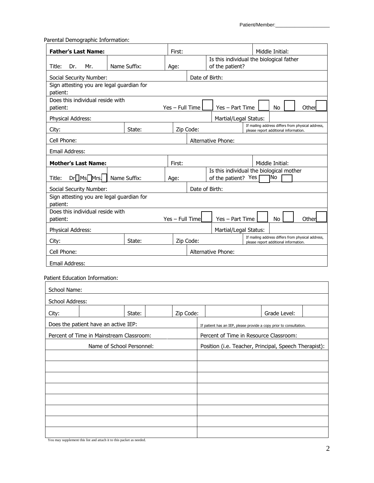Parental Demographic Information:

| <b>Father's Last Name:</b>                                            |              |  | First:          |                                                                                                 |                                                                     |                                       | Middle Initial: |  |                                                   |
|-----------------------------------------------------------------------|--------------|--|-----------------|-------------------------------------------------------------------------------------------------|---------------------------------------------------------------------|---------------------------------------|-----------------|--|---------------------------------------------------|
| Name Suffix:<br>Title:<br>Dr.<br>Mr.                                  |              |  | Age:            | Is this individual the biological father<br>of the patient?                                     |                                                                     |                                       |                 |  |                                                   |
| Social Security Number:                                               |              |  |                 | Date of Birth:                                                                                  |                                                                     |                                       |                 |  |                                                   |
| Sign attesting you are legal guardian for                             |              |  |                 |                                                                                                 |                                                                     |                                       |                 |  |                                                   |
| patient:<br>Does this individual reside with                          |              |  |                 |                                                                                                 |                                                                     |                                       |                 |  |                                                   |
| patient:                                                              |              |  | Yes - Full Time |                                                                                                 | Yes - Part Time                                                     |                                       | No              |  | Other                                             |
| Physical Address:                                                     |              |  |                 |                                                                                                 | Martial/Legal Status:                                               |                                       |                 |  |                                                   |
| City:                                                                 | State:       |  | Zip Code:       |                                                                                                 |                                                                     | please report additional information. |                 |  | If mailing address differs from physical address, |
| Cell Phone:                                                           |              |  |                 |                                                                                                 | Alternative Phone:                                                  |                                       |                 |  |                                                   |
| Email Address:                                                        |              |  |                 |                                                                                                 |                                                                     |                                       |                 |  |                                                   |
| <b>Mother's Last Name:</b>                                            |              |  | First:          |                                                                                                 |                                                                     |                                       | Middle Initial: |  |                                                   |
| Dr <sup>1</sup> Ms <sup>1</sup> Mrs.<br>Title:                        | Name Suffix: |  | Age:            |                                                                                                 | Is this individual the biological mother<br>of the patient? Yes     |                                       | No              |  |                                                   |
| Social Security Number:                                               |              |  |                 | Date of Birth:                                                                                  |                                                                     |                                       |                 |  |                                                   |
| Sign attesting you are legal guardian for                             |              |  |                 |                                                                                                 |                                                                     |                                       |                 |  |                                                   |
| patient:<br>Does this individual reside with                          |              |  |                 |                                                                                                 |                                                                     |                                       |                 |  |                                                   |
| patient:                                                              |              |  | Yes - Full Time |                                                                                                 | Yes - Part Time                                                     |                                       | No              |  | Other                                             |
| Physical Address:                                                     |              |  |                 |                                                                                                 | Martial/Legal Status:                                               |                                       |                 |  |                                                   |
| City:                                                                 | State:       |  | Zip Code:       |                                                                                                 |                                                                     | please report additional information. |                 |  | If mailing address differs from physical address, |
| Cell Phone:                                                           |              |  |                 |                                                                                                 | Alternative Phone:                                                  |                                       |                 |  |                                                   |
| Email Address:                                                        |              |  |                 |                                                                                                 |                                                                     |                                       |                 |  |                                                   |
| Patient Education Information:                                        |              |  |                 |                                                                                                 |                                                                     |                                       |                 |  |                                                   |
| School Name:                                                          |              |  |                 |                                                                                                 |                                                                     |                                       |                 |  |                                                   |
| School Address:                                                       |              |  |                 |                                                                                                 |                                                                     |                                       |                 |  |                                                   |
|                                                                       |              |  |                 |                                                                                                 |                                                                     |                                       |                 |  |                                                   |
| City:                                                                 | State:       |  | Zip Code:       |                                                                                                 |                                                                     |                                       | Grade Level:    |  |                                                   |
| Does the patient have an active IEP:                                  |              |  |                 |                                                                                                 | If patient has an IEP, please provide a copy prior to consultation. |                                       |                 |  |                                                   |
| Percent of Time in Mainstream Classroom:<br>Name of School Personnel: |              |  |                 | Percent of Time in Resource Classroom:<br>Position (i.e. Teacher, Principal, Speech Therapist): |                                                                     |                                       |                 |  |                                                   |
|                                                                       |              |  |                 |                                                                                                 |                                                                     |                                       |                 |  |                                                   |
|                                                                       |              |  |                 |                                                                                                 |                                                                     |                                       |                 |  |                                                   |
|                                                                       |              |  |                 |                                                                                                 |                                                                     |                                       |                 |  |                                                   |
|                                                                       |              |  |                 |                                                                                                 |                                                                     |                                       |                 |  |                                                   |
|                                                                       |              |  |                 |                                                                                                 |                                                                     |                                       |                 |  |                                                   |
|                                                                       |              |  |                 |                                                                                                 |                                                                     |                                       |                 |  |                                                   |
|                                                                       |              |  |                 |                                                                                                 |                                                                     |                                       |                 |  |                                                   |
|                                                                       |              |  |                 |                                                                                                 |                                                                     |                                       |                 |  |                                                   |

You may supplement this list and attach it to this packet as needed.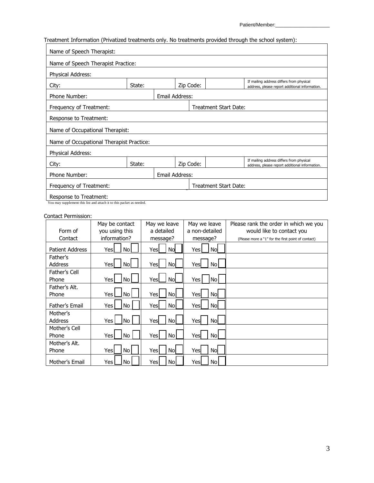## Treatment Information (Privatized treatments only. No treatments provided through the school system):

| Name of Speech Therapist:                                                                                                  |                                                                                                                   |  |  |  |                       |  |  |  |
|----------------------------------------------------------------------------------------------------------------------------|-------------------------------------------------------------------------------------------------------------------|--|--|--|-----------------------|--|--|--|
| Name of Speech Therapist Practice:                                                                                         |                                                                                                                   |  |  |  |                       |  |  |  |
| Physical Address:                                                                                                          |                                                                                                                   |  |  |  |                       |  |  |  |
| City:                                                                                                                      | If mailing address differs from physical<br>State:<br>Zip Code:<br>address, please report additional information. |  |  |  |                       |  |  |  |
| Email Address:<br>Phone Number:                                                                                            |                                                                                                                   |  |  |  |                       |  |  |  |
| Treatment Start Date:<br>Frequency of Treatment:                                                                           |                                                                                                                   |  |  |  |                       |  |  |  |
| Response to Treatment:                                                                                                     |                                                                                                                   |  |  |  |                       |  |  |  |
| Name of Occupational Therapist:                                                                                            |                                                                                                                   |  |  |  |                       |  |  |  |
| Name of Occupational Therapist Practice:                                                                                   |                                                                                                                   |  |  |  |                       |  |  |  |
| Physical Address:                                                                                                          |                                                                                                                   |  |  |  |                       |  |  |  |
| If mailing address differs from physical<br>State:<br>Zip Code:<br>City:<br>address, please report additional information. |                                                                                                                   |  |  |  |                       |  |  |  |
| Email Address:<br>Phone Number:                                                                                            |                                                                                                                   |  |  |  |                       |  |  |  |
| Frequency of Treatment:                                                                                                    |                                                                                                                   |  |  |  | Treatment Start Date: |  |  |  |
| Response to Treatment:                                                                                                     |                                                                                                                   |  |  |  |                       |  |  |  |

You may supplement this list and attach it to this packet as needed.

#### Contact Permission:

|                            | May be contact     | May we leave      | May we leave   | Please rank the order in which we you              |
|----------------------------|--------------------|-------------------|----------------|----------------------------------------------------|
| Form of                    | you using this     | a detailed        | a non-detailed | would like to contact you                          |
| Contact                    | information?       | message?          | message?       | (Please more a "1" for the first point of contact) |
| <b>Patient Address</b>     | No<br>Yesl         | Nd<br>Yesl        | No<br>Yes      |                                                    |
| Father's<br><b>Address</b> | No<br>Yesl         | <b>No</b><br>Yesl | Yes<br>No      |                                                    |
| Father's Cell<br>Phone     | <b>No</b><br>Yes   | <b>No</b><br>Yes  | No<br>Yes      |                                                    |
| Father's Alt.<br>Phone     | Yes l<br><b>No</b> | <b>No</b><br>Yesl | No<br>Yes      |                                                    |
| Father's Email             | No<br>Yes          | <b>No</b><br>Yesl | No<br>Yes      |                                                    |
| Mother's                   |                    |                   |                |                                                    |
| <b>Address</b>             | No<br>Yes          | <b>No</b><br>Yes  | No<br>Yes      |                                                    |
| Mother's Cell<br>Phone     | No<br>Yes          | No l<br>Yes       | No<br>Yes      |                                                    |
| Mother's Alt.<br>Phone     | Yesl<br><b>No</b>  | <b>No</b><br>Yesl | Yes<br>No      |                                                    |
| Mother's Email             | No<br>Yes          | No<br>Yes         | No<br>Yes      |                                                    |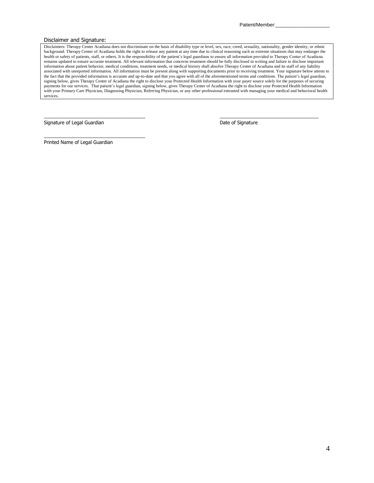#### Disclaimer and Signature:

Disclaimers: Therapy Center Acadiana does not discriminate on the basis of disability type or level, sex, race, creed, sexuality, nationality, gender identity, or ethnic background. Therapy Center of Acadiana holds the right to release any patient at any time due to clinical reasoning such as extreme situations that may endanger the health or safety of patients, staff, or others. It is the responsibility of the patient's legal guardians to ensure all information provided to Therapy Center of Acadiana remains updated to ensure accurate treatment. All relevant information that concerns treatment should be fully disclosed in writing and failure to disclose important information about patient behavior, medical conditions, treatment needs, or medical history shall absolve Therapy Center of Acadiana and its staff of any liability associated with unreported information. All information must be present along with supporting documents prior to receiving treatment. Your signature below attests to the fact that the provided information is accurate and up-to-date and that you agree with all of the aforementioned terms and conditions. The patient's legal guardian, signing below, gives Therapy Center of Acadiana the right to disclose your Protected Health Information with your payer source solely for the purposes of securing payments for our services. That patient's legal guardian, signing below, gives Therapy Center of Acadiana the right to disclose your Protected Health Information with your Primary Care Physician, Diagnosing Physician, Referring Physician, or any other professional entrusted with managing your medical and behavioral health services.

 $\mathcal{L}_\mathcal{L} = \{ \mathcal{L}_\mathcal{L} = \{ \mathcal{L}_\mathcal{L} = \{ \mathcal{L}_\mathcal{L} = \{ \mathcal{L}_\mathcal{L} = \{ \mathcal{L}_\mathcal{L} = \{ \mathcal{L}_\mathcal{L} = \{ \mathcal{L}_\mathcal{L} = \{ \mathcal{L}_\mathcal{L} = \{ \mathcal{L}_\mathcal{L} = \{ \mathcal{L}_\mathcal{L} = \{ \mathcal{L}_\mathcal{L} = \{ \mathcal{L}_\mathcal{L} = \{ \mathcal{L}_\mathcal{L} = \{ \mathcal{L}_\mathcal{$ 

Signature of Legal Guardian **Date of Signature** Date of Signature

Printed Name of Legal Guardian

\_\_\_\_\_\_\_\_\_\_\_\_\_\_\_\_\_\_\_\_\_\_\_\_\_\_\_\_\_\_\_\_\_\_\_\_\_\_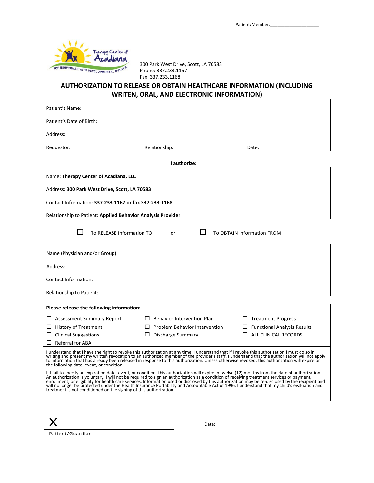

300 Park West Drive, Scott, LA 70583 Phone: 337.233.1167 Fax: 337.233.1168

### **AUTHORIZATION TO RELEASE OR OBTAIN HEALTHCARE INFORMATION (INCLUDING WRITEN, ORAL, AND ELECTRONIC INFORMATION)**

| Patient's Name:                                                                                  |                                                                                                                                                                                                                                                                                                                                                                                                                                                                                                                                                                                                      |                                              |  |  |  |  |
|--------------------------------------------------------------------------------------------------|------------------------------------------------------------------------------------------------------------------------------------------------------------------------------------------------------------------------------------------------------------------------------------------------------------------------------------------------------------------------------------------------------------------------------------------------------------------------------------------------------------------------------------------------------------------------------------------------------|----------------------------------------------|--|--|--|--|
| Patient's Date of Birth:                                                                         |                                                                                                                                                                                                                                                                                                                                                                                                                                                                                                                                                                                                      |                                              |  |  |  |  |
| Address:                                                                                         |                                                                                                                                                                                                                                                                                                                                                                                                                                                                                                                                                                                                      |                                              |  |  |  |  |
| Requestor:                                                                                       | Relationship:                                                                                                                                                                                                                                                                                                                                                                                                                                                                                                                                                                                        | Date:                                        |  |  |  |  |
|                                                                                                  | I authorize:                                                                                                                                                                                                                                                                                                                                                                                                                                                                                                                                                                                         |                                              |  |  |  |  |
| Name: Therapy Center of Acadiana, LLC                                                            |                                                                                                                                                                                                                                                                                                                                                                                                                                                                                                                                                                                                      |                                              |  |  |  |  |
| Address: 300 Park West Drive, Scott, LA 70583                                                    |                                                                                                                                                                                                                                                                                                                                                                                                                                                                                                                                                                                                      |                                              |  |  |  |  |
| Contact Information: 337-233-1167 or fax 337-233-1168                                            |                                                                                                                                                                                                                                                                                                                                                                                                                                                                                                                                                                                                      |                                              |  |  |  |  |
| Relationship to Patient: Applied Behavior Analysis Provider                                      |                                                                                                                                                                                                                                                                                                                                                                                                                                                                                                                                                                                                      |                                              |  |  |  |  |
| To RELEASE Information TO                                                                        | or                                                                                                                                                                                                                                                                                                                                                                                                                                                                                                                                                                                                   | <b>To OBTAIN Information FROM</b>            |  |  |  |  |
| Name (Physician and/or Group):                                                                   |                                                                                                                                                                                                                                                                                                                                                                                                                                                                                                                                                                                                      |                                              |  |  |  |  |
| Address:                                                                                         |                                                                                                                                                                                                                                                                                                                                                                                                                                                                                                                                                                                                      |                                              |  |  |  |  |
| Contact Information:                                                                             |                                                                                                                                                                                                                                                                                                                                                                                                                                                                                                                                                                                                      |                                              |  |  |  |  |
| Relationship to Patient:                                                                         |                                                                                                                                                                                                                                                                                                                                                                                                                                                                                                                                                                                                      |                                              |  |  |  |  |
| Please release the following information:                                                        |                                                                                                                                                                                                                                                                                                                                                                                                                                                                                                                                                                                                      |                                              |  |  |  |  |
| $\Box$ Assessment Summary Report                                                                 | <b>Behavior Intervention Plan</b><br>$\perp$                                                                                                                                                                                                                                                                                                                                                                                                                                                                                                                                                         | $\Box$ Treatment Progress                    |  |  |  |  |
| $\Box$ History of Treatment                                                                      | Problem Behavior Intervention                                                                                                                                                                                                                                                                                                                                                                                                                                                                                                                                                                        | <b>Functional Analysis Results</b><br>$\Box$ |  |  |  |  |
| $\Box$ Clinical Suggestions<br><b>Discharge Summary</b><br>$\Box$ ALL CLINICAL RECORDS<br>$\Box$ |                                                                                                                                                                                                                                                                                                                                                                                                                                                                                                                                                                                                      |                                              |  |  |  |  |
| <b>Referral for ABA</b><br>$\Box$                                                                |                                                                                                                                                                                                                                                                                                                                                                                                                                                                                                                                                                                                      |                                              |  |  |  |  |
| the following date, event, or condition:                                                         | I understand that I have the right to revoke this authorization at any time. I understand that if I revoke this authorization I must do so in<br>writing and present my written revocation to an authorized member of the provider's staff. I understand that the authorization will not apply<br>to information that has already been released in response to this authorization. Unless otherwise revoked, this authorization will expire on<br>If I fail to specify an expiration date, event, or condition, this authorization will expire in twelve (12) months from the date of authorization. |                                              |  |  |  |  |
| treatment is not conditioned on the signing of this authorization.                               | An authorization is voluntary. I will not be required to sign an authorization as a condition of receiving treatment services or payment,<br>enrollment, or eligibility for health care services. Information used or disclosed by this authorization may be re-disclosed by the recipient and<br>will no longer be protected under the Health Insurance Portability and Accountable Act of 1996. I understand that my child's evaluation and                                                                                                                                                        |                                              |  |  |  |  |
|                                                                                                  |                                                                                                                                                                                                                                                                                                                                                                                                                                                                                                                                                                                                      |                                              |  |  |  |  |

Patient/Guardian

X

Date: